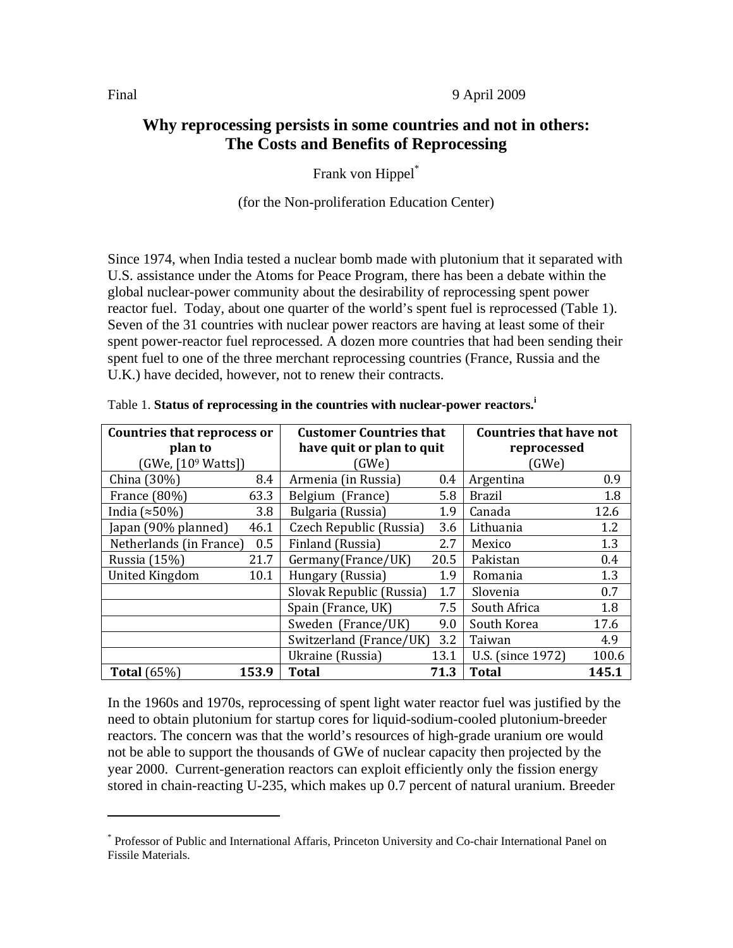Final 9 April 2009

# **Why reprocessing persists in some countries and not in others: The Costs and Benefits of Reprocessing**

Frank von Hippel\*

## (for the Non-proliferation Education Center)

Since 1974, when India tested a nuclear bomb made with plutonium that it separated with U.S. assistance under the Atoms for Peace Program, there has been a debate within the global nuclear-power community about the desirability of reprocessing spent power reactor fuel. Today, about one quarter of the world's spent fuel is reprocessed (Table 1). Seven of the 31 countries with nuclear power reactors are having at least some of their spent power-reactor fuel reprocessed. A dozen more countries that had been sending their spent fuel to one of the three merchant reprocessing countries (France, Russia and the U.K.) have decided, however, not to renew their contracts.

| Countries that reprocess or<br>plan to<br>(GWe, [109 Watts]) |       | <b>Customer Countries that</b><br>have quit or plan to quit<br>(GWe) |      | <b>Countries that have not</b><br>reprocessed<br>(GWe) |       |
|--------------------------------------------------------------|-------|----------------------------------------------------------------------|------|--------------------------------------------------------|-------|
| China (30%)                                                  | 8.4   | Armenia (in Russia)                                                  | 0.4  | Argentina                                              | 0.9   |
| France (80%)                                                 | 63.3  | Belgium (France)                                                     | 5.8  | Brazil                                                 | 1.8   |
| India $(*50\%)$                                              | 3.8   | Bulgaria (Russia)                                                    | 1.9  | Canada                                                 | 12.6  |
| Japan (90% planned)                                          | 46.1  | Czech Republic (Russia)                                              | 3.6  | Lithuania                                              | 1.2   |
| Netherlands (in France)                                      | 0.5   | Finland (Russia)                                                     | 2.7  | Mexico                                                 | 1.3   |
| Russia (15%)                                                 | 21.7  | Germany(France/UK)                                                   | 20.5 | Pakistan                                               | 0.4   |
| <b>United Kingdom</b>                                        | 10.1  | Hungary (Russia)                                                     | 1.9  | Romania                                                | 1.3   |
|                                                              |       | Slovak Republic (Russia)                                             | 1.7  | Slovenia                                               | 0.7   |
|                                                              |       | Spain (France, UK)                                                   | 7.5  | South Africa                                           | 1.8   |
|                                                              |       | Sweden (France/UK)                                                   | 9.0  | South Korea                                            | 17.6  |
|                                                              |       | Switzerland (France/UK)                                              | 3.2  | Taiwan                                                 | 4.9   |
|                                                              |       | Ukraine (Russia)                                                     | 13.1 | U.S. (since 1972)                                      | 100.6 |
| <b>Total</b> (65%)                                           | 153.9 | <b>Total</b>                                                         | 71.3 | <b>Total</b>                                           | 145.1 |

Table 1. **Status of reprocessing in the countries with nuclear-power reactors.<sup>i</sup>**

In the 1960s and 1970s, reprocessing of spent light water reactor fuel was justified by the need to obtain plutonium for startup cores for liquid-sodium-cooled plutonium-breeder reactors. The concern was that the world's resources of high-grade uranium ore would not be able to support the thousands of GWe of nuclear capacity then projected by the year 2000. Current-generation reactors can exploit efficiently only the fission energy stored in chain-reacting U-235, which makes up 0.7 percent of natural uranium. Breeder

<sup>\*</sup> Professor of Public and International Affaris, Princeton University and Co-chair International Panel on Fissile Materials.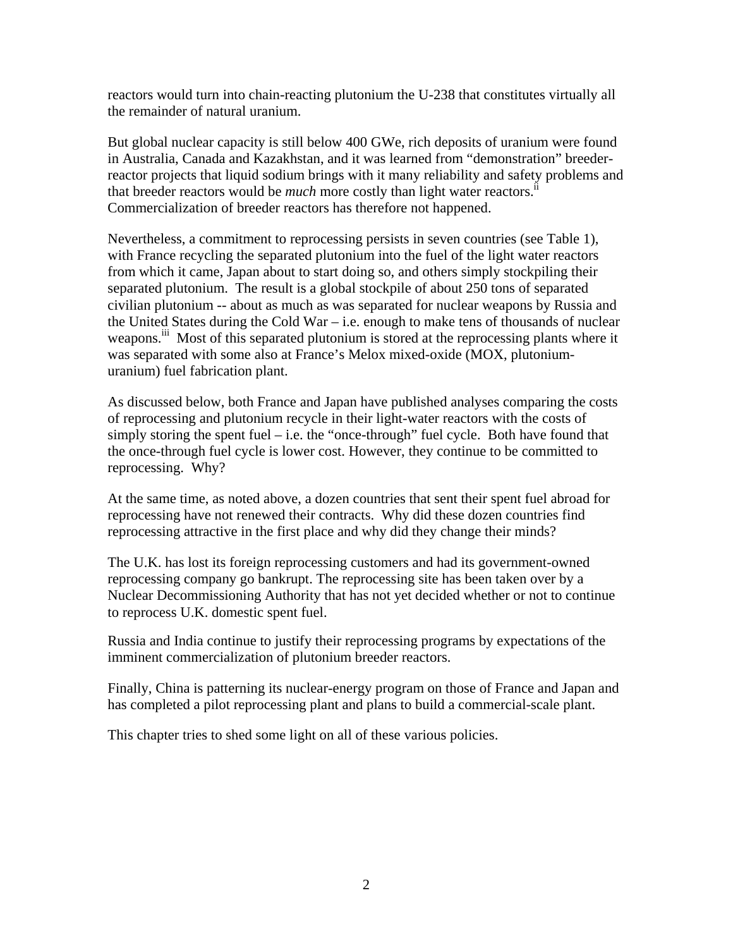reactors would turn into chain-reacting plutonium the U-238 that constitutes virtually all the remainder of natural uranium.

But global nuclear capacity is still below 400 GWe, rich deposits of uranium were found in Australia, Canada and Kazakhstan, and it was learned from "demonstration" breederreactor projects that liquid sodium brings with it many reliability and safety problems and that breeder reactors would be *much* more costly than light water reactors.<sup>i</sup> Commercialization of breeder reactors has therefore not happened.

Nevertheless, a commitment to reprocessing persists in seven countries (see Table 1), with France recycling the separated plutonium into the fuel of the light water reactors from which it came, Japan about to start doing so, and others simply stockpiling their separated plutonium. The result is a global stockpile of about 250 tons of separated civilian plutonium -- about as much as was separated for nuclear weapons by Russia and the United States during the Cold War – i.e. enough to make tens of thousands of nuclear weapons.<sup>iii</sup> Most of this separated plutonium is stored at the reprocessing plants where it was separated with some also at France's Melox mixed-oxide (MOX, plutoniumuranium) fuel fabrication plant.

As discussed below, both France and Japan have published analyses comparing the costs of reprocessing and plutonium recycle in their light-water reactors with the costs of simply storing the spent fuel  $-$  i.e. the "once-through" fuel cycle. Both have found that the once-through fuel cycle is lower cost. However, they continue to be committed to reprocessing. Why?

At the same time, as noted above, a dozen countries that sent their spent fuel abroad for reprocessing have not renewed their contracts. Why did these dozen countries find reprocessing attractive in the first place and why did they change their minds?

The U.K. has lost its foreign reprocessing customers and had its government-owned reprocessing company go bankrupt. The reprocessing site has been taken over by a Nuclear Decommissioning Authority that has not yet decided whether or not to continue to reprocess U.K. domestic spent fuel.

Russia and India continue to justify their reprocessing programs by expectations of the imminent commercialization of plutonium breeder reactors.

Finally, China is patterning its nuclear-energy program on those of France and Japan and has completed a pilot reprocessing plant and plans to build a commercial-scale plant.

This chapter tries to shed some light on all of these various policies.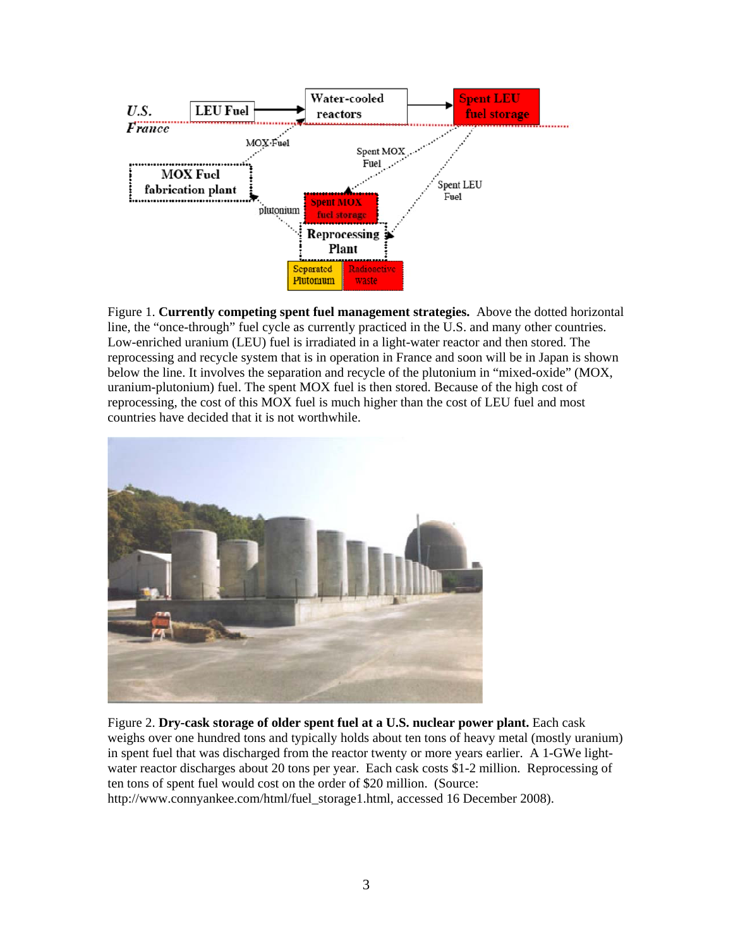

Figure 1. **Currently competing spent fuel management strategies.** Above the dotted horizontal line, the "once-through" fuel cycle as currently practiced in the U.S. and many other countries. Low-enriched uranium (LEU) fuel is irradiated in a light-water reactor and then stored. The reprocessing and recycle system that is in operation in France and soon will be in Japan is shown below the line. It involves the separation and recycle of the plutonium in "mixed-oxide" (MOX, uranium-plutonium) fuel. The spent MOX fuel is then stored. Because of the high cost of reprocessing, the cost of this MOX fuel is much higher than the cost of LEU fuel and most countries have decided that it is not worthwhile.



Figure 2. **Dry-cask storage of older spent fuel at a U.S. nuclear power plant.** Each cask weighs over one hundred tons and typically holds about ten tons of heavy metal (mostly uranium) in spent fuel that was discharged from the reactor twenty or more years earlier. A 1-GWe lightwater reactor discharges about 20 tons per year. Each cask costs \$1-2 million. Reprocessing of ten tons of spent fuel would cost on the order of \$20 million. (Source: http://www.connyankee.com/html/fuel\_storage1.html, accessed 16 December 2008).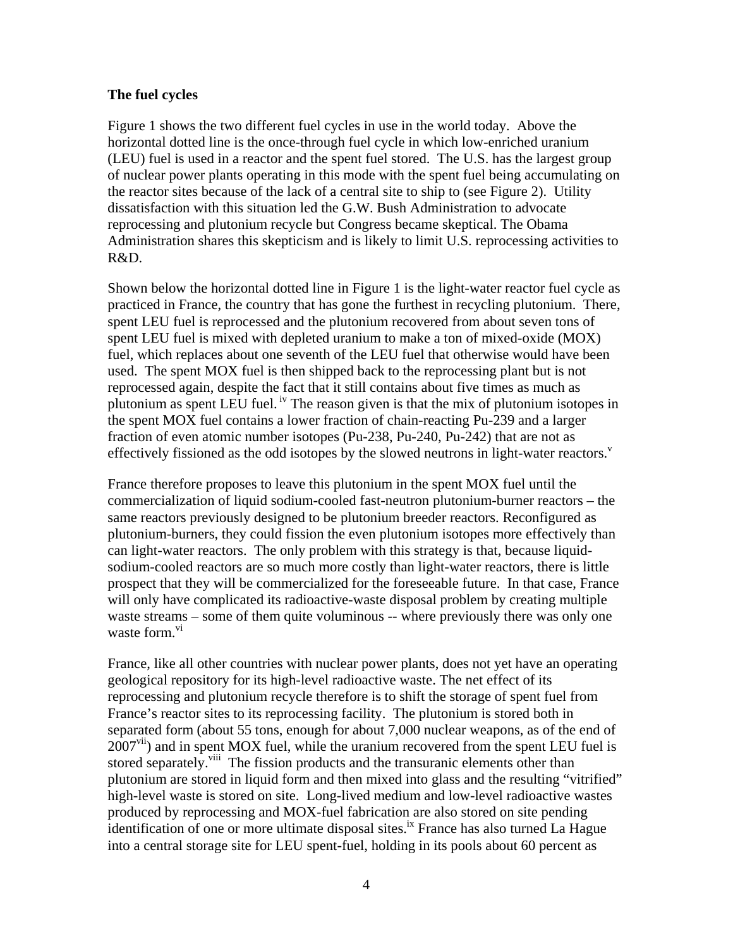#### **The fuel cycles**

Figure 1 shows the two different fuel cycles in use in the world today. Above the horizontal dotted line is the once-through fuel cycle in which low-enriched uranium (LEU) fuel is used in a reactor and the spent fuel stored. The U.S. has the largest group of nuclear power plants operating in this mode with the spent fuel being accumulating on the reactor sites because of the lack of a central site to ship to (see Figure 2). Utility dissatisfaction with this situation led the G.W. Bush Administration to advocate reprocessing and plutonium recycle but Congress became skeptical. The Obama Administration shares this skepticism and is likely to limit U.S. reprocessing activities to R&D.

Shown below the horizontal dotted line in Figure 1 is the light-water reactor fuel cycle as practiced in France, the country that has gone the furthest in recycling plutonium. There, spent LEU fuel is reprocessed and the plutonium recovered from about seven tons of spent LEU fuel is mixed with depleted uranium to make a ton of mixed-oxide (MOX) fuel, which replaces about one seventh of the LEU fuel that otherwise would have been used. The spent MOX fuel is then shipped back to the reprocessing plant but is not reprocessed again, despite the fact that it still contains about five times as much as plutonium as spent LEU fuel.  $\frac{iv}{i}$  The reason given is that the mix of plutonium isotopes in the spent MOX fuel contains a lower fraction of chain-reacting Pu-239 and a larger fraction of even atomic number isotopes (Pu-238, Pu-240, Pu-242) that are not as effectively fissioned as the odd isotopes by the slowed neutrons in light-water reactors. $v$ 

France therefore proposes to leave this plutonium in the spent MOX fuel until the commercialization of liquid sodium-cooled fast-neutron plutonium-burner reactors – the same reactors previously designed to be plutonium breeder reactors. Reconfigured as plutonium-burners, they could fission the even plutonium isotopes more effectively than can light-water reactors. The only problem with this strategy is that, because liquidsodium-cooled reactors are so much more costly than light-water reactors, there is little prospect that they will be commercialized for the foreseeable future. In that case, France will only have complicated its radioactive-waste disposal problem by creating multiple waste streams – some of them quite voluminous -- where previously there was only one waste form.<sup>vi</sup>

France, like all other countries with nuclear power plants, does not yet have an operating geological repository for its high-level radioactive waste. The net effect of its reprocessing and plutonium recycle therefore is to shift the storage of spent fuel from France's reactor sites to its reprocessing facility. The plutonium is stored both in separated form (about 55 tons, enough for about 7,000 nuclear weapons, as of the end of  $2007<sup>vi</sup>$ ) and in spent MOX fuel, while the uranium recovered from the spent LEU fuel is stored separately.<sup>viii</sup> The fission products and the transuranic elements other than plutonium are stored in liquid form and then mixed into glass and the resulting "vitrified" high-level waste is stored on site. Long-lived medium and low-level radioactive wastes produced by reprocessing and MOX-fuel fabrication are also stored on site pending identification of one or more ultimate disposal sites.<sup>ix</sup> France has also turned La Hague into a central storage site for LEU spent-fuel, holding in its pools about 60 percent as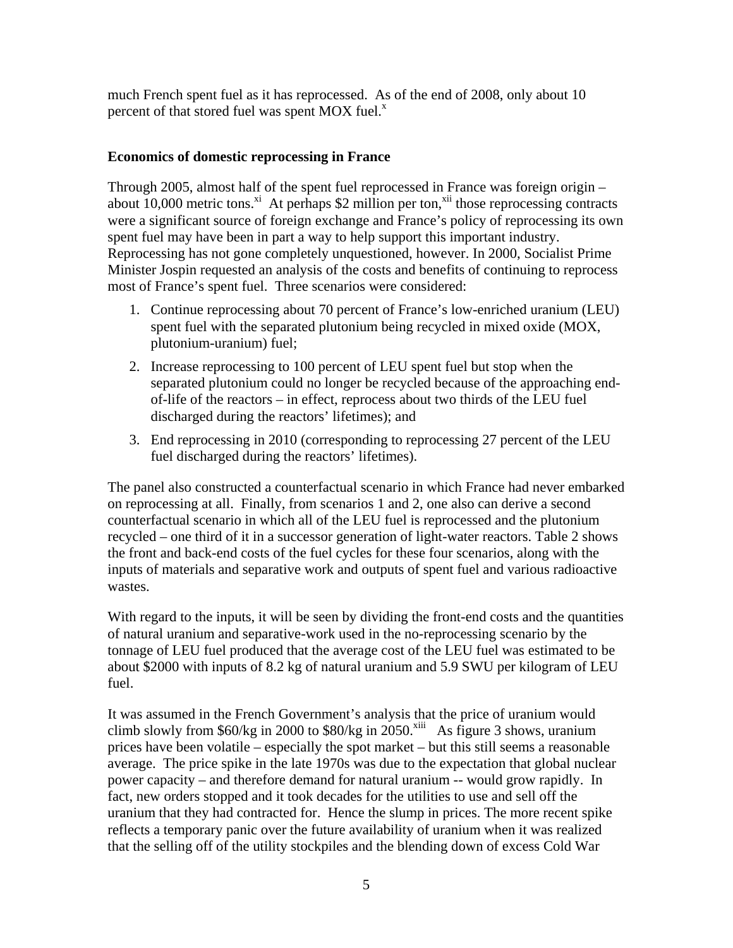much French spent fuel as it has reprocessed. As of the end of 2008, only about 10 percent of that stored fuel was spent MOX fuel. $^x$ 

## **Economics of domestic reprocessing in France**

Through 2005, almost half of the spent fuel reprocessed in France was foreign origin – about  $10,000$  metric tons.<sup>xi</sup> At perhaps \$2 million per ton,<sup>xii</sup> those reprocessing contracts were a significant source of foreign exchange and France's policy of reprocessing its own spent fuel may have been in part a way to help support this important industry. Reprocessing has not gone completely unquestioned, however. In 2000, Socialist Prime Minister Jospin requested an analysis of the costs and benefits of continuing to reprocess most of France's spent fuel. Three scenarios were considered:

- 1. Continue reprocessing about 70 percent of France's low-enriched uranium (LEU) spent fuel with the separated plutonium being recycled in mixed oxide (MOX, plutonium-uranium) fuel;
- 2. Increase reprocessing to 100 percent of LEU spent fuel but stop when the separated plutonium could no longer be recycled because of the approaching endof-life of the reactors – in effect, reprocess about two thirds of the LEU fuel discharged during the reactors' lifetimes); and
- 3. End reprocessing in 2010 (corresponding to reprocessing 27 percent of the LEU fuel discharged during the reactors' lifetimes).

The panel also constructed a counterfactual scenario in which France had never embarked on reprocessing at all. Finally, from scenarios 1 and 2, one also can derive a second counterfactual scenario in which all of the LEU fuel is reprocessed and the plutonium recycled – one third of it in a successor generation of light-water reactors. Table 2 shows the front and back-end costs of the fuel cycles for these four scenarios, along with the inputs of materials and separative work and outputs of spent fuel and various radioactive wastes.

With regard to the inputs, it will be seen by dividing the front-end costs and the quantities of natural uranium and separative-work used in the no-reprocessing scenario by the tonnage of LEU fuel produced that the average cost of the LEU fuel was estimated to be about \$2000 with inputs of 8.2 kg of natural uranium and 5.9 SWU per kilogram of LEU fuel.

It was assumed in the French Government's analysis that the price of uranium would climb slowly from  $60/kg$  in 2000 to  $80/kg$  in 2050.<sup>xiii</sup> As figure 3 shows, uranium prices have been volatile – especially the spot market – but this still seems a reasonable average. The price spike in the late 1970s was due to the expectation that global nuclear power capacity – and therefore demand for natural uranium -- would grow rapidly. In fact, new orders stopped and it took decades for the utilities to use and sell off the uranium that they had contracted for. Hence the slump in prices. The more recent spike reflects a temporary panic over the future availability of uranium when it was realized that the selling off of the utility stockpiles and the blending down of excess Cold War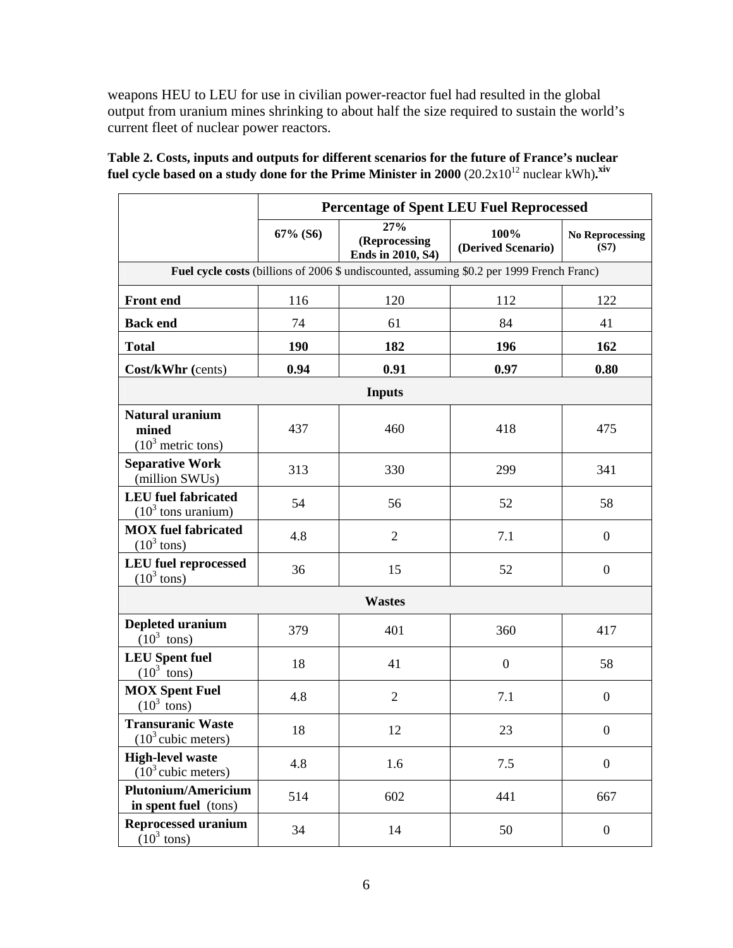weapons HEU to LEU for use in civilian power-reactor fuel had resulted in the global output from uranium mines shrinking to about half the size required to sustain the world's current fleet of nuclear power reactors.

|                                                                                           | <b>Percentage of Spent LEU Fuel Reprocessed</b> |                                           |                            |                                |  |  |  |  |
|-------------------------------------------------------------------------------------------|-------------------------------------------------|-------------------------------------------|----------------------------|--------------------------------|--|--|--|--|
|                                                                                           | 67% (S6)                                        | 27%<br>(Reprocessing<br>Ends in 2010, S4) | 100%<br>(Derived Scenario) | <b>No Reprocessing</b><br>(S7) |  |  |  |  |
| Fuel cycle costs (billions of 2006 \$ undiscounted, assuming \$0.2 per 1999 French Franc) |                                                 |                                           |                            |                                |  |  |  |  |
| <b>Front end</b>                                                                          | 116                                             | 120                                       | 112                        | 122                            |  |  |  |  |
| <b>Back end</b>                                                                           | 74                                              | 61                                        | 84                         | 41                             |  |  |  |  |
| <b>Total</b>                                                                              | 190                                             | 182                                       | 196                        | 162                            |  |  |  |  |
| Cost/kWhr (cents)                                                                         | 0.94                                            | 0.91                                      | 0.97                       | 0.80                           |  |  |  |  |
| <b>Inputs</b>                                                                             |                                                 |                                           |                            |                                |  |  |  |  |
| <b>Natural uranium</b><br>mined<br>$(10^3 \text{ metric tons})$                           | 437                                             | 460                                       | 418                        | 475                            |  |  |  |  |
| <b>Separative Work</b><br>(million SWUs)                                                  | 313                                             | 330                                       | 299                        | 341                            |  |  |  |  |
| <b>LEU</b> fuel fabricated<br>$(103$ tons uranium)                                        | 54                                              | 56                                        | 52                         | 58                             |  |  |  |  |
| <b>MOX</b> fuel fabricated<br>$(10^3 \text{ tons})$                                       | 4.8                                             | $\overline{2}$                            | 7.1                        | $\boldsymbol{0}$               |  |  |  |  |
| <b>LEU</b> fuel reprocessed<br>$(10^3$ tons)                                              | 36                                              | 15                                        | 52                         | $\boldsymbol{0}$               |  |  |  |  |
| <b>Wastes</b>                                                                             |                                                 |                                           |                            |                                |  |  |  |  |
| Depleted uranium<br>$(10^3$ tons)                                                         | 379                                             | 401                                       | 360                        | 417                            |  |  |  |  |
| <b>LEU</b> Spent fuel<br>$(10^3$ tons)                                                    | 18                                              | 41                                        | $\boldsymbol{0}$           | 58                             |  |  |  |  |
| <b>MOX Spent Fuel</b><br>$(10^3 \text{ tons})$                                            | 4.8                                             | $\overline{2}$                            | 7.1                        | $\boldsymbol{0}$               |  |  |  |  |
| <b>Transuranic Waste</b><br>$(10^3 \text{ cubic meters})$                                 | 18                                              | 12                                        | 23                         | $\mathbf{0}$                   |  |  |  |  |
| <b>High-level waste</b><br>$(10^3$ cubic meters)                                          | 4.8                                             | 1.6                                       | 7.5                        | $\boldsymbol{0}$               |  |  |  |  |
| <b>Plutonium/Americium</b><br>in spent fuel (tons)                                        | 514                                             | 602                                       | 441                        | 667                            |  |  |  |  |
| <b>Reprocessed uranium</b><br>$(10^3 \text{ tons})$                                       | 34                                              | 14                                        | 50                         | $\boldsymbol{0}$               |  |  |  |  |

**Table 2. Costs, inputs and outputs for different scenarios for the future of France's nuclear**  fuel cycle based on a study done for the Prime Minister in 2000 (20.2x10<sup>12</sup> nuclear kWh).<sup>xiv</sup>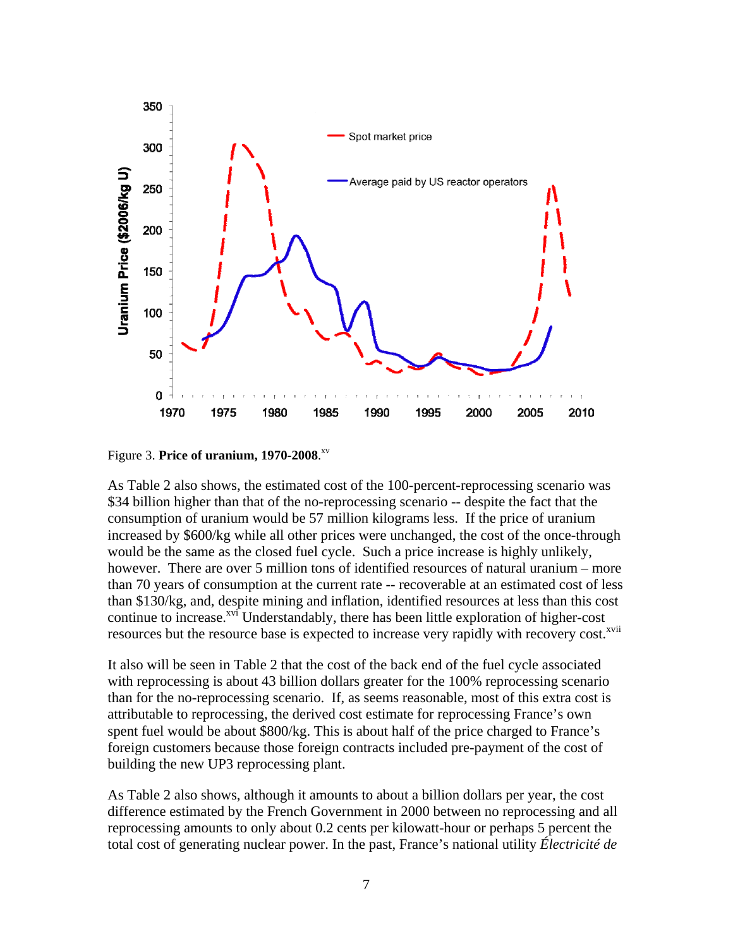

Figure 3. **Price of uranium, 1970-2008**. xv

As Table 2 also shows, the estimated cost of the 100-percent-reprocessing scenario was \$34 billion higher than that of the no-reprocessing scenario -- despite the fact that the consumption of uranium would be 57 million kilograms less. If the price of uranium increased by \$600/kg while all other prices were unchanged, the cost of the once-through would be the same as the closed fuel cycle. Such a price increase is highly unlikely, however. There are over 5 million tons of identified resources of natural uranium – more than 70 years of consumption at the current rate -- recoverable at an estimated cost of less than \$130/kg, and, despite mining and inflation, identified resources at less than this cost continue to increase.<sup> $xvi$ </sup> Understandably, there has been little exploration of higher-cost resources but the resource base is expected to increase very rapidly with recovery cost.<sup>xvii</sup>

It also will be seen in Table 2 that the cost of the back end of the fuel cycle associated with reprocessing is about 43 billion dollars greater for the 100% reprocessing scenario than for the no-reprocessing scenario. If, as seems reasonable, most of this extra cost is attributable to reprocessing, the derived cost estimate for reprocessing France's own spent fuel would be about \$800/kg. This is about half of the price charged to France's foreign customers because those foreign contracts included pre-payment of the cost of building the new UP3 reprocessing plant.

As Table 2 also shows, although it amounts to about a billion dollars per year, the cost difference estimated by the French Government in 2000 between no reprocessing and all reprocessing amounts to only about 0.2 cents per kilowatt-hour or perhaps 5 percent the total cost of generating nuclear power. In the past, France's national utility *Électricité de*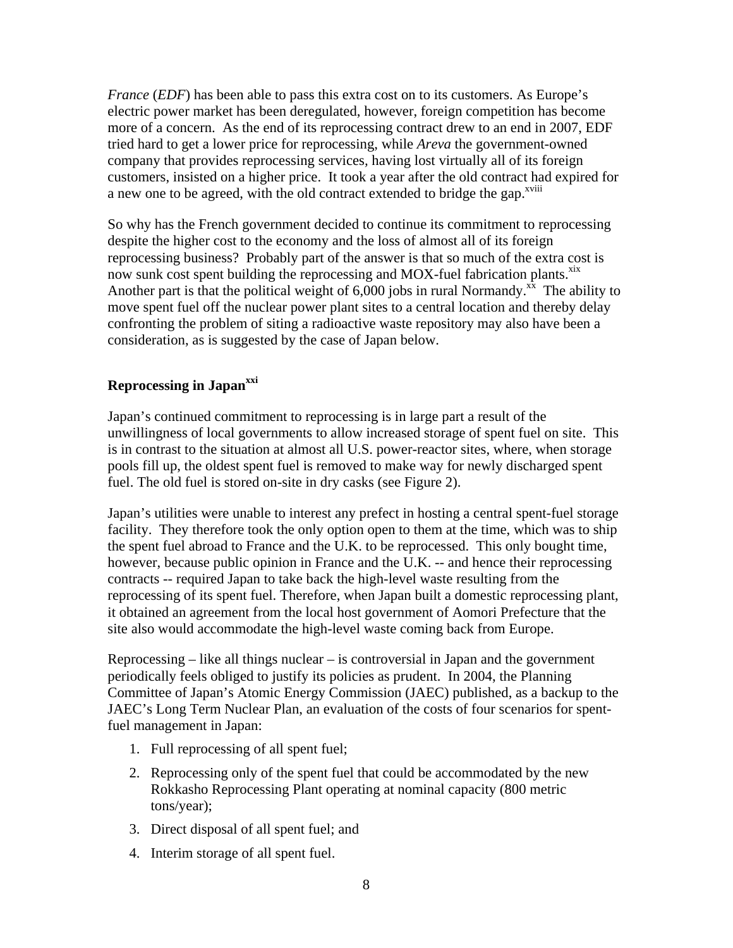*France* (*EDF*) has been able to pass this extra cost on to its customers. As Europe's electric power market has been deregulated, however, foreign competition has become more of a concern. As the end of its reprocessing contract drew to an end in 2007, EDF tried hard to get a lower price for reprocessing, while *Areva* the government-owned company that provides reprocessing services*,* having lost virtually all of its foreign customers, insisted on a higher price. It took a year after the old contract had expired for a new one to be agreed, with the old contract extended to bridge the gap.<sup>xviii</sup>

So why has the French government decided to continue its commitment to reprocessing despite the higher cost to the economy and the loss of almost all of its foreign reprocessing business? Probably part of the answer is that so much of the extra cost is now sunk cost spent building the reprocessing and MOX-fuel fabrication plants.<sup>xix</sup> Another part is that the political weight of  $6,000$  jobs in rural Normandy.<sup>xx</sup> The ability to move spent fuel off the nuclear power plant sites to a central location and thereby delay confronting the problem of siting a radioactive waste repository may also have been a consideration, as is suggested by the case of Japan below.

# **Reprocessing in Japan<sup>xxi</sup>**

Japan's continued commitment to reprocessing is in large part a result of the unwillingness of local governments to allow increased storage of spent fuel on site. This is in contrast to the situation at almost all U.S. power-reactor sites, where, when storage pools fill up, the oldest spent fuel is removed to make way for newly discharged spent fuel. The old fuel is stored on-site in dry casks (see Figure 2).

Japan's utilities were unable to interest any prefect in hosting a central spent-fuel storage facility. They therefore took the only option open to them at the time, which was to ship the spent fuel abroad to France and the U.K. to be reprocessed. This only bought time, however, because public opinion in France and the U.K. -- and hence their reprocessing contracts -- required Japan to take back the high-level waste resulting from the reprocessing of its spent fuel. Therefore, when Japan built a domestic reprocessing plant, it obtained an agreement from the local host government of Aomori Prefecture that the site also would accommodate the high-level waste coming back from Europe.

Reprocessing – like all things nuclear – is controversial in Japan and the government periodically feels obliged to justify its policies as prudent. In 2004, the Planning Committee of Japan's Atomic Energy Commission (JAEC) published, as a backup to the JAEC's Long Term Nuclear Plan, an evaluation of the costs of four scenarios for spentfuel management in Japan:

- 1. Full reprocessing of all spent fuel;
- 2. Reprocessing only of the spent fuel that could be accommodated by the new Rokkasho Reprocessing Plant operating at nominal capacity (800 metric tons/year);
- 3. Direct disposal of all spent fuel; and
- 4. Interim storage of all spent fuel.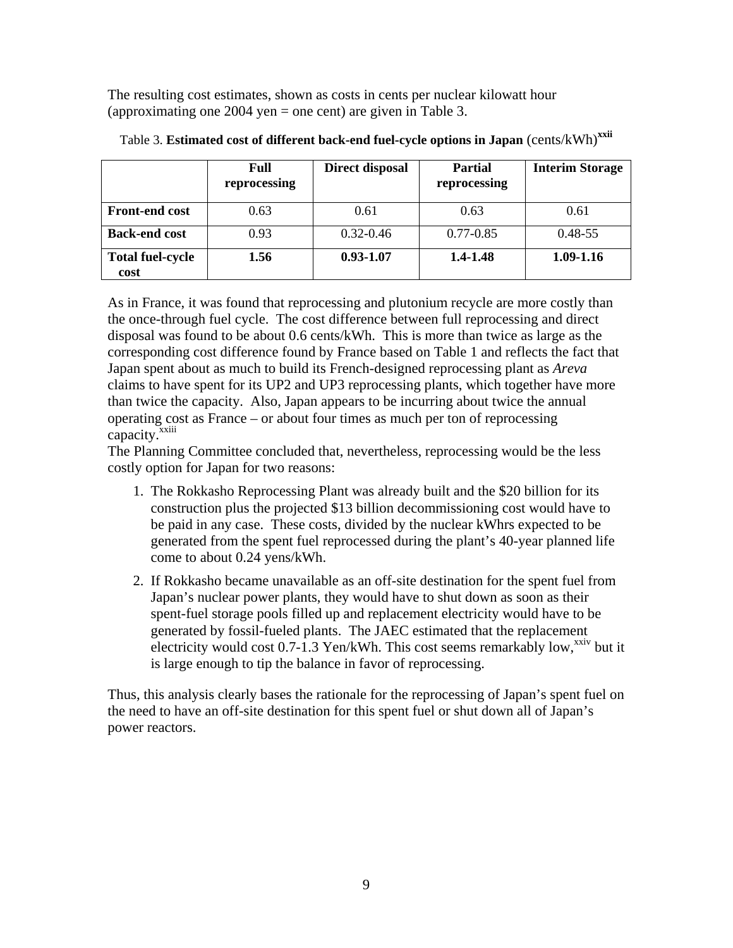The resulting cost estimates, shown as costs in cents per nuclear kilowatt hour (approximating one 2004 yen  $=$  one cent) are given in Table 3.

|                                 | Full<br>reprocessing | Direct disposal | <b>Partial</b><br>reprocessing | <b>Interim Storage</b> |
|---------------------------------|----------------------|-----------------|--------------------------------|------------------------|
| <b>Front-end cost</b>           | 0.63                 | 0.61            | 0.63                           | 0.61                   |
| <b>Back-end cost</b>            | 0.93                 | $0.32 - 0.46$   | $0.77 - 0.85$                  | $0.48 - 55$            |
| <b>Total fuel-cycle</b><br>cost | 1.56                 | $0.93 - 1.07$   | 1.4-1.48                       | 1.09-1.16              |

Table 3. **Estimated cost of different back-end fuel-cycle options in Japan** (cents/kWh)**xxii**

As in France, it was found that reprocessing and plutonium recycle are more costly than the once-through fuel cycle. The cost difference between full reprocessing and direct disposal was found to be about 0.6 cents/kWh. This is more than twice as large as the corresponding cost difference found by France based on Table 1 and reflects the fact that Japan spent about as much to build its French-designed reprocessing plant as *Areva* claims to have spent for its UP2 and UP3 reprocessing plants, which together have more than twice the capacity. Also, Japan appears to be incurring about twice the annual operating cost as France – or about four times as much per ton of reprocessing capacity.<sup>xxiii</sup>

The Planning Committee concluded that, nevertheless, reprocessing would be the less costly option for Japan for two reasons:

- 1. The Rokkasho Reprocessing Plant was already built and the \$20 billion for its construction plus the projected \$13 billion decommissioning cost would have to be paid in any case. These costs, divided by the nuclear kWhrs expected to be generated from the spent fuel reprocessed during the plant's 40-year planned life come to about 0.24 yens/kWh.
- 2. If Rokkasho became unavailable as an off-site destination for the spent fuel from Japan's nuclear power plants, they would have to shut down as soon as their spent-fuel storage pools filled up and replacement electricity would have to be generated by fossil-fueled plants. The JAEC estimated that the replacement electricity would cost  $0.7-1.3$  Yen/kWh. This cost seems remarkably low,<sup>xxiv</sup> but it is large enough to tip the balance in favor of reprocessing.

Thus, this analysis clearly bases the rationale for the reprocessing of Japan's spent fuel on the need to have an off-site destination for this spent fuel or shut down all of Japan's power reactors.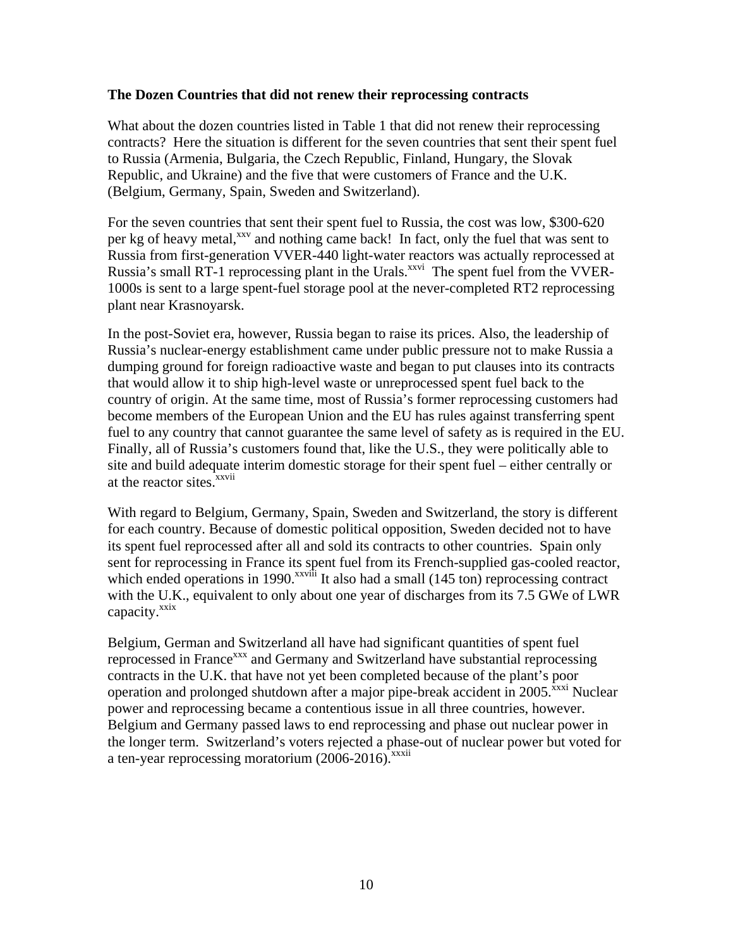#### **The Dozen Countries that did not renew their reprocessing contracts**

What about the dozen countries listed in Table 1 that did not renew their reprocessing contracts? Here the situation is different for the seven countries that sent their spent fuel to Russia (Armenia, Bulgaria, the Czech Republic, Finland, Hungary, the Slovak Republic, and Ukraine) and the five that were customers of France and the U.K. (Belgium, Germany, Spain, Sweden and Switzerland).

For the seven countries that sent their spent fuel to Russia, the cost was low, \$300-620 per kg of heavy metal,<sup>xxv</sup> and nothing came back! In fact, only the fuel that was sent to Russia from first-generation VVER-440 light-water reactors was actually reprocessed at Russia's small RT-1 reprocessing plant in the Urals.<sup>xxvi</sup> The spent fuel from the VVER-1000s is sent to a large spent-fuel storage pool at the never-completed RT2 reprocessing plant near Krasnoyarsk.

In the post-Soviet era, however, Russia began to raise its prices. Also, the leadership of Russia's nuclear-energy establishment came under public pressure not to make Russia a dumping ground for foreign radioactive waste and began to put clauses into its contracts that would allow it to ship high-level waste or unreprocessed spent fuel back to the country of origin. At the same time, most of Russia's former reprocessing customers had become members of the European Union and the EU has rules against transferring spent fuel to any country that cannot guarantee the same level of safety as is required in the EU. Finally, all of Russia's customers found that, like the U.S., they were politically able to site and build adequate interim domestic storage for their spent fuel – either centrally or at the reactor sites.<sup>xxvii</sup>

With regard to Belgium, Germany, Spain, Sweden and Switzerland, the story is different for each country. Because of domestic political opposition, Sweden decided not to have its spent fuel reprocessed after all and sold its contracts to other countries. Spain only sent for reprocessing in France its spent fuel from its French-supplied gas-cooled reactor, which ended operations in 1990.<sup>xxviii</sup> It also had a small  $(145 \text{ ton})$  reprocessing contract with the U.K., equivalent to only about one year of discharges from its 7.5 GWe of LWR capacity.<sup>xxix</sup>

Belgium, German and Switzerland all have had significant quantities of spent fuel reprocessed in France<sup>xxx</sup> and Germany and Switzerland have substantial reprocessing contracts in the U.K. that have not yet been completed because of the plant's poor operation and prolonged shutdown after a major pipe-break accident in  $2005$ <sup>xxxi</sup> Nuclear power and reprocessing became a contentious issue in all three countries, however. Belgium and Germany passed laws to end reprocessing and phase out nuclear power in the longer term. Switzerland's voters rejected a phase-out of nuclear power but voted for a ten-year reprocessing moratorium  $(2006-2016)$ <sup>xxxii</sup>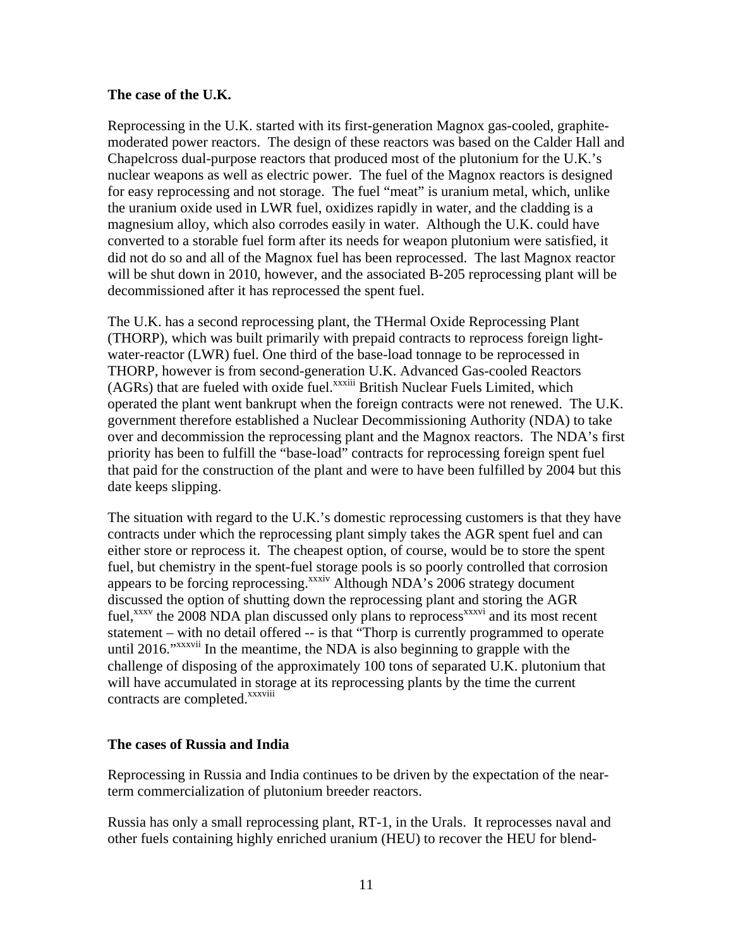### **The case of the U.K.**

Reprocessing in the U.K. started with its first-generation Magnox gas-cooled, graphitemoderated power reactors. The design of these reactors was based on the Calder Hall and Chapelcross dual-purpose reactors that produced most of the plutonium for the U.K.'s nuclear weapons as well as electric power. The fuel of the Magnox reactors is designed for easy reprocessing and not storage. The fuel "meat" is uranium metal, which, unlike the uranium oxide used in LWR fuel, oxidizes rapidly in water, and the cladding is a magnesium alloy, which also corrodes easily in water. Although the U.K. could have converted to a storable fuel form after its needs for weapon plutonium were satisfied, it did not do so and all of the Magnox fuel has been reprocessed. The last Magnox reactor will be shut down in 2010, however, and the associated B-205 reprocessing plant will be decommissioned after it has reprocessed the spent fuel.

The U.K. has a second reprocessing plant, the THermal Oxide Reprocessing Plant (THORP), which was built primarily with prepaid contracts to reprocess foreign lightwater-reactor (LWR) fuel. One third of the base-load tonnage to be reprocessed in THORP, however is from second-generation U.K. Advanced Gas-cooled Reactors  $(AGRs)$  that are fueled with oxide fuel.<sup>xxxiii</sup> British Nuclear Fuels Limited, which operated the plant went bankrupt when the foreign contracts were not renewed. The U.K. government therefore established a Nuclear Decommissioning Authority (NDA) to take over and decommission the reprocessing plant and the Magnox reactors. The NDA's first priority has been to fulfill the "base-load" contracts for reprocessing foreign spent fuel that paid for the construction of the plant and were to have been fulfilled by 2004 but this date keeps slipping.

The situation with regard to the U.K.'s domestic reprocessing customers is that they have contracts under which the reprocessing plant simply takes the AGR spent fuel and can either store or reprocess it. The cheapest option, of course, would be to store the spent fuel, but chemistry in the spent-fuel storage pools is so poorly controlled that corrosion appears to be forcing reprocessing.<sup>xxxiv</sup> Although NDA's 2006 strategy document discussed the option of shutting down the reprocessing plant and storing the AGR fuel, $^{xxxxv}$  the 2008 NDA plan discussed only plans to reprocess $^{xxxxvi}$  and its most recent statement – with no detail offered -- is that "Thorp is currently programmed to operate until 2016."<sup>xxxvii</sup> In the meantime, the NDA is also beginning to grapple with the challenge of disposing of the approximately 100 tons of separated U.K. plutonium that will have accumulated in storage at its reprocessing plants by the time the current contracts are completed.<sup>xxxviii</sup>

### **The cases of Russia and India**

Reprocessing in Russia and India continues to be driven by the expectation of the nearterm commercialization of plutonium breeder reactors.

Russia has only a small reprocessing plant, RT-1, in the Urals. It reprocesses naval and other fuels containing highly enriched uranium (HEU) to recover the HEU for blend-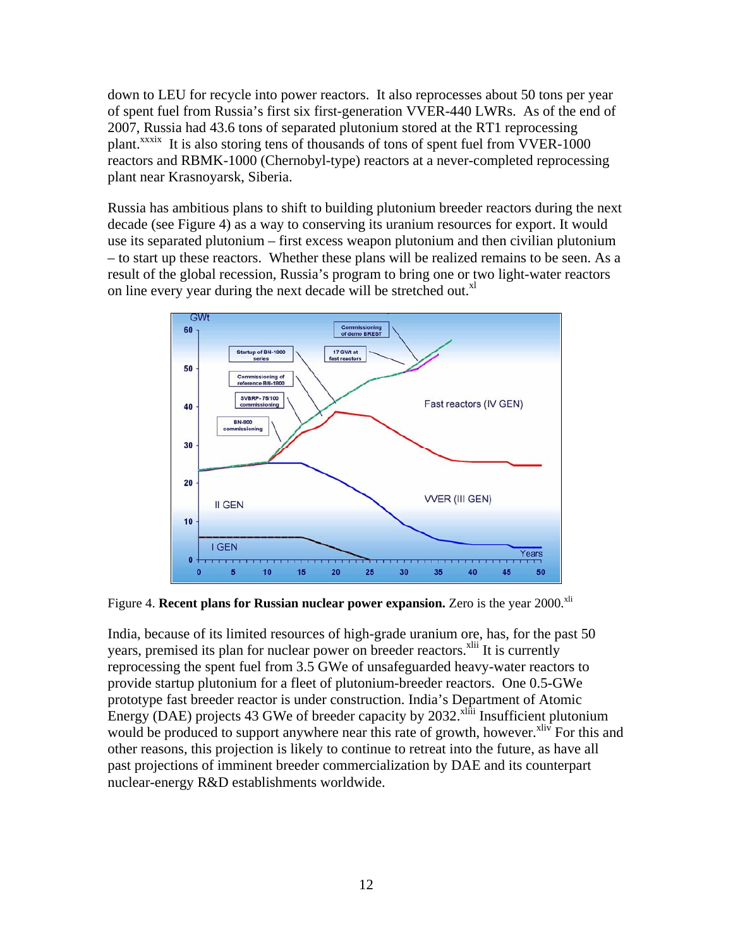down to LEU for recycle into power reactors. It also reprocesses about 50 tons per year of spent fuel from Russia's first six first-generation VVER-440 LWRs. As of the end of 2007, Russia had 43.6 tons of separated plutonium stored at the RT1 reprocessing plant.<sup>xxxix</sup> It is also storing tens of thousands of tons of spent fuel from VVER-1000 reactors and RBMK-1000 (Chernobyl-type) reactors at a never-completed reprocessing plant near Krasnoyarsk, Siberia.

Russia has ambitious plans to shift to building plutonium breeder reactors during the next decade (see Figure 4) as a way to conserving its uranium resources for export. It would use its separated plutonium – first excess weapon plutonium and then civilian plutonium – to start up these reactors. Whether these plans will be realized remains to be seen. As a result of the global recession, Russia's program to bring one or two light-water reactors on line every year during the next decade will be stretched out. $X<sup>1</sup>$ 



Figure 4. **Recent plans for Russian nuclear power expansion.** Zero is the year 2000.<sup>xli</sup>

India, because of its limited resources of high-grade uranium ore, has, for the past 50 years, premised its plan for nuclear power on breeder reactors.<sup>xlii</sup> It is currently reprocessing the spent fuel from 3.5 GWe of unsafeguarded heavy-water reactors to provide startup plutonium for a fleet of plutonium-breeder reactors. One 0.5-GWe prototype fast breeder reactor is under construction. India's Department of Atomic Energy (DAE) projects 43 GWe of breeder capacity by  $2032$ <sup>xliii</sup> Insufficient plutonium would be produced to support anywhere near this rate of growth, however.<sup>xliv</sup> For this and other reasons, this projection is likely to continue to retreat into the future, as have all past projections of imminent breeder commercialization by DAE and its counterpart nuclear-energy R&D establishments worldwide.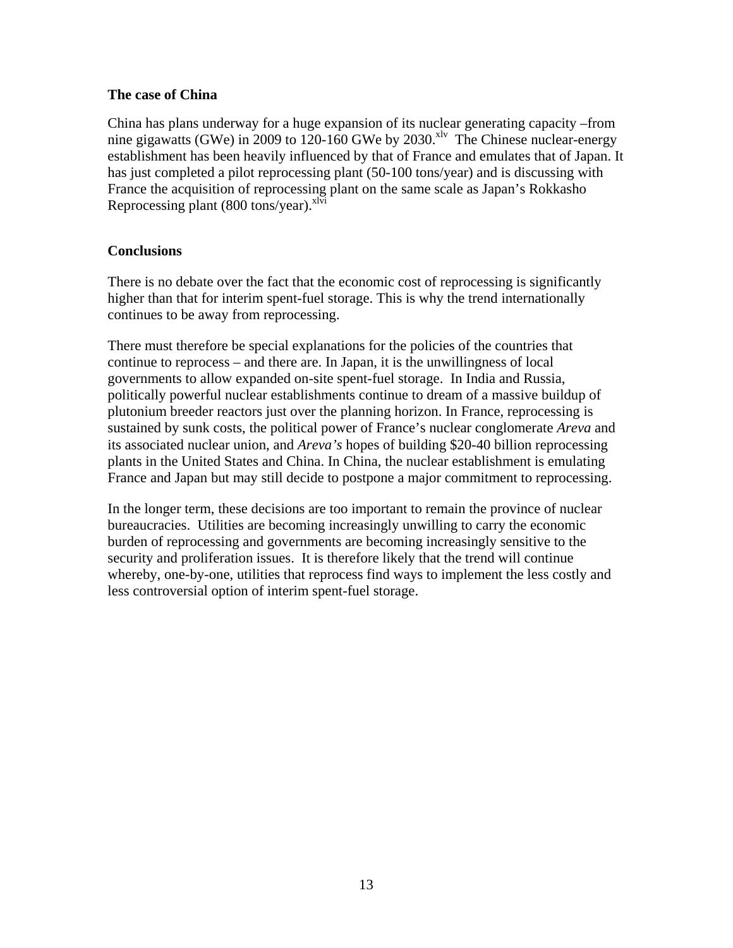### **The case of China**

China has plans underway for a huge expansion of its nuclear generating capacity –from nine gigawatts (GWe) in 2009 to 120-160 GWe by 2030.<sup>xlv</sup> The Chinese nuclear-energy establishment has been heavily influenced by that of France and emulates that of Japan. It has just completed a pilot reprocessing plant (50-100 tons/year) and is discussing with France the acquisition of reprocessing plant on the same scale as Japan's Rokkasho Reprocessing plant (800 tons/year). $x^{1\bar{v}i}$ 

# **Conclusions**

There is no debate over the fact that the economic cost of reprocessing is significantly higher than that for interim spent-fuel storage. This is why the trend internationally continues to be away from reprocessing.

There must therefore be special explanations for the policies of the countries that continue to reprocess – and there are. In Japan, it is the unwillingness of local governments to allow expanded on-site spent-fuel storage. In India and Russia, politically powerful nuclear establishments continue to dream of a massive buildup of plutonium breeder reactors just over the planning horizon. In France, reprocessing is sustained by sunk costs, the political power of France's nuclear conglomerate *Areva* and its associated nuclear union, and *Areva's* hopes of building \$20-40 billion reprocessing plants in the United States and China. In China, the nuclear establishment is emulating France and Japan but may still decide to postpone a major commitment to reprocessing.

In the longer term, these decisions are too important to remain the province of nuclear bureaucracies. Utilities are becoming increasingly unwilling to carry the economic burden of reprocessing and governments are becoming increasingly sensitive to the security and proliferation issues. It is therefore likely that the trend will continue whereby, one-by-one, utilities that reprocess find ways to implement the less costly and less controversial option of interim spent-fuel storage.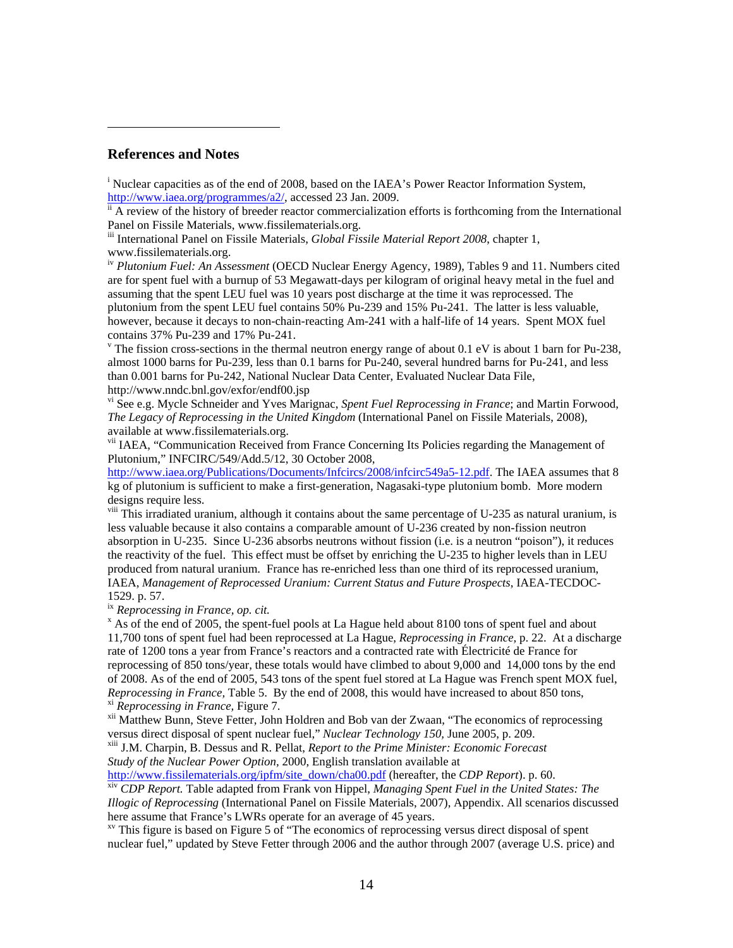#### **References and Notes**

<sup>i</sup> Nuclear capacities as of the end of 2008, based on the IAEA's Power Reactor Information System,  $\frac{http://www.iaea.org/programmes/a2/}{ii}$  accessed 23 Jan. 2009.<br>
ii A review of the history of breeder reactor commercialization efforts is forthcoming from the International

Panel on Fissile Materials, www.fissilematerials.org.

iii International Panel on Fissile Materials, *Global Fissile Material Report 2008*, chapter 1, www.fissilematerials.org.

iv *Plutonium Fuel: An Assessment* (OECD Nuclear Energy Agency, 1989), Tables 9 and 11. Numbers cited are for spent fuel with a burnup of 53 Megawatt-days per kilogram of original heavy metal in the fuel and assuming that the spent LEU fuel was 10 years post discharge at the time it was reprocessed. The plutonium from the spent LEU fuel contains 50% Pu-239 and 15% Pu-241. The latter is less valuable, however, because it decays to non-chain-reacting Am-241 with a half-life of 14 years. Spent MOX fuel contains 37% Pu-239 and 17% Pu-241.

<sup>v</sup> The fission cross-sections in the thermal neutron energy range of about 0.1 eV is about 1 barn for Pu-238, almost 1000 barns for Pu-239, less than 0.1 barns for Pu-240, several hundred barns for Pu-241, and less than 0.001 barns for Pu-242, National Nuclear Data Center, Evaluated Nuclear Data File, http://www.nndc.bnl.gov/exfor/endf00.jsp

vi See e.g. Mycle Schneider and Yves Marignac, *Spent Fuel Reprocessing in France*; and Martin Forwood, *The Legacy of Reprocessing in the United Kingdom* (International Panel on Fissile Materials, 2008), available at www.fissilematerials.org.

vii IAEA, "Communication Received from France Concerning Its Policies regarding the Management of Plutonium," INFCIRC/549/Add.5/12, 30 October 2008,

http://www.iaea.org/Publications/Documents/Infcircs/2008/infcirc549a5-12.pdf. The IAEA assumes that 8 kg of plutonium is sufficient to make a first-generation, Nagasaki-type plutonium bomb. More modern designs require less.

<sup>viii</sup> This irradiated uranium, although it contains about the same percentage of U-235 as natural uranium, is less valuable because it also contains a comparable amount of U-236 created by non-fission neutron absorption in U-235. Since U-236 absorbs neutrons without fission (i.e. is a neutron "poison"), it reduces the reactivity of the fuel. This effect must be offset by enriching the U-235 to higher levels than in LEU produced from natural uranium. France has re-enriched less than one third of its reprocessed uranium, IAEA, *Management of Reprocessed Uranium: Current Status and Future Prospects*, IAEA-TECDOC-1529. p. 57.

<sup>ix</sup> Reprocessing in France, op. cit.

 $^{\circ}$  As of the end of 2005, the spent-fuel pools at La Hague held about 8100 tons of spent fuel and about 11,700 tons of spent fuel had been reprocessed at La Hague, *Reprocessing in France,* p. 22. At a discharge rate of 1200 tons a year from France's reactors and a contracted rate with Électricité de France for reprocessing of 850 tons/year, these totals would have climbed to about 9,000 and 14,000 tons by the end of 2008. As of the end of 2005, 543 tons of the spent fuel stored at La Hague was French spent MOX fuel, *Reprocessing in France*, Table 5. By the end of 2008, this would have increased to about 850 tons, <br><sup>xi</sup> *Reprocessing in France*, Figure 7.<br><sup>xii</sup> Matthew Bunn, Steve Fetter, John Holdren and Bob van der Zwaan, "The econo

versus direct disposal of spent nuclear fuel," *Nuclear Technology 150,* June 2005, p. 209. xiii J.M. Charpin, B. Dessus and R. Pellat, *Report to the Prime Minister: Economic Forecast* 

*Study of the Nuclear Power Option,* 2000, English translation available at

http://www.fissilematerials.org/ipfm/site\_down/cha00.pdf (hereafter, the *CDP Report*). p. 60.

xiv *CDP Report.* Table adapted from Frank von Hippel, *Managing Spent Fuel in the United States: The Illogic of Reprocessing* (International Panel on Fissile Materials, 2007), Appendix. All scenarios discussed here assume that France's LWRs operate for an average of 45 years.

 $\frac{xy}{x}$  This figure is based on Figure 5 of "The economics of reprocessing versus direct disposal of spent nuclear fuel," updated by Steve Fetter through 2006 and the author through 2007 (average U.S. price) and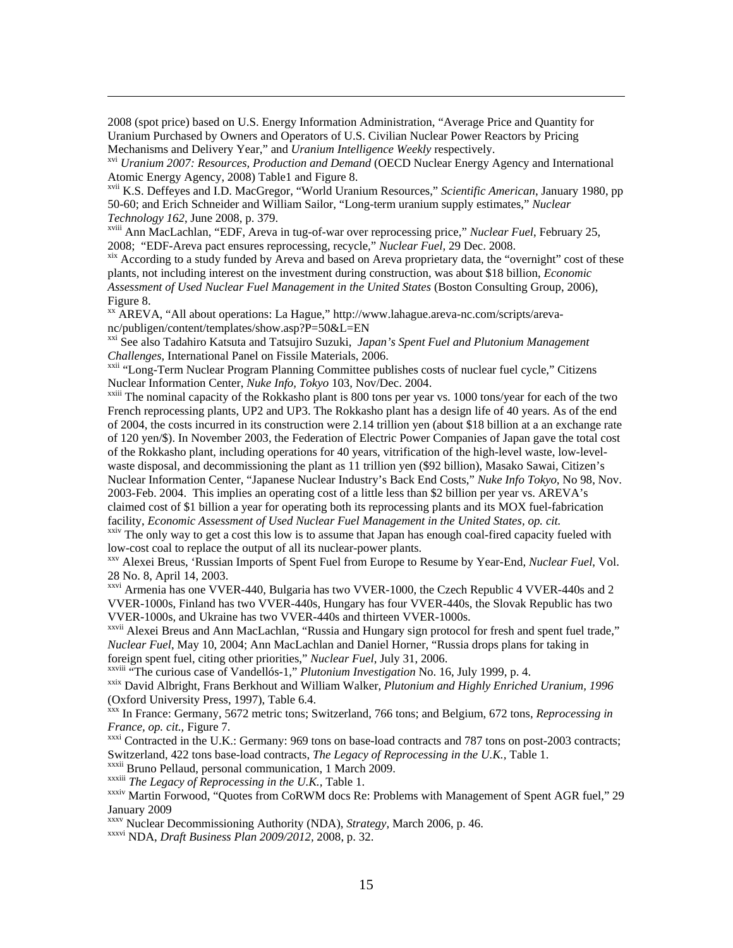2008 (spot price) based on U.S. Energy Information Administration, "Average Price and Quantity for Uranium Purchased by Owners and Operators of U.S. Civilian Nuclear Power Reactors by Pricing Mechanisms and Delivery Year," and *Uranium Intelligence Weekly* respectively.

xvi *Uranium 2007: Resources, Production and Demand* (OECD Nuclear Energy Agency and International Atomic Energy Agency, 2008) Table1 and Figure 8.

<u> 1989 - Andrea San Andrea San Andrea San Andrea San Andrea San Andrea San Andrea San Andrea San Andrea San An</u>

xvii K.S. Deffeyes and I.D. MacGregor, "World Uranium Resources," *Scientific American*, January 1980, pp 50-60; and Erich Schneider and William Sailor, "Long-term uranium supply estimates," *Nuclear Technology 162*, June 2008, p. 379.

xviii Ann MacLachlan, "EDF, Areva in tug-of-war over reprocessing price," *Nuclear Fuel*, February 25, 2008; "EDF-Areva pact ensures reprocessing, recycle," *Nuclear Fuel*, 29 Dec. 2008.<br><sup>xix</sup> According to a study funded by Areva and based on Areva proprietary data, the "overnight" cost of these

plants, not including interest on the investment during construction, was about \$18 billion, *Economic Assessment of Used Nuclear Fuel Management in the United States* (Boston Consulting Group, 2006), Figure 8.

xx AREVA, "All about operations: La Hague," http://www.lahague.areva-nc.com/scripts/arevanc/publigen/content/templates/show.asp?P=50&L=EN

<sup>xxi</sup> See also Tadahiro Katsuta and Tatsujiro Suzuki, *Japan's Spent Fuel and Plutonium Management Challenges*, International Panel on Fissile Materials, 2006.

<sup>xxii</sup> "Long-Term Nuclear Program Planning Committee publishes costs of nuclear fuel cycle," Citizens Nuclear Information Center, *Nuke Info, Tokyo* 103, Nov/Dec. 2004.<br><sup>xxiii</sup> The nominal capacity of the Rokkasho plant is 800 tons per year vs. 1000 tons/year for each of the two

French reprocessing plants, UP2 and UP3. The Rokkasho plant has a design life of 40 years. As of the end of 2004, the costs incurred in its construction were 2.14 trillion yen (about \$18 billion at a an exchange rate of 120 yen/\$). In November 2003, the Federation of Electric Power Companies of Japan gave the total cost of the Rokkasho plant, including operations for 40 years, vitrification of the high-level waste, low-levelwaste disposal, and decommissioning the plant as 11 trillion yen (\$92 billion), Masako Sawai, Citizen's Nuclear Information Center, "Japanese Nuclear Industry's Back End Costs," *Nuke Info Tokyo,* No 98, Nov. 2003-Feb. 2004. This implies an operating cost of a little less than \$2 billion per year vs. AREVA's claimed cost of \$1 billion a year for operating both its reprocessing plants and its MOX fuel-fabrication facility, *Economic Assessment of Used Nuclear Fuel Management in the United States, op. cit.*

<sup>xxiv</sup> The only way to get a cost this low is to assume that Japan has enough coal-fired capacity fueled with low-cost coal to replace the output of all its nuclear-power plants.<br><sup>xxv</sup> Alexei Breus, 'Russian Imports of Spent Fuel from Europe to Resume by Year-End, *Nuclear Fuel*, Vol.

28 No. 8, April 14, 2003.

xxvi Armenia has one VVER-440, Bulgaria has two VVER-1000, the Czech Republic 4 VVER-440s and 2 VVER-1000s, Finland has two VVER-440s, Hungary has four VVER-440s, the Slovak Republic has two VVER-1000s, and Ukraine has two VVER-440s and thirteen VVER-1000s.

xxvii Alexei Breus and Ann MacLachlan, "Russia and Hungary sign protocol for fresh and spent fuel trade," *Nuclear Fuel*, May 10, 2004; Ann MacLachlan and Daniel Horner, "Russia drops plans for taking in foreign spent fuel, citing other priorities," *Nuclear Fuel*, July 31, 2006.

<sup>xxix</sup> David Albright, Frans Berkhout and William Walker, *Plutonium and Highly Enriched Uranium, 1996* (Oxford University Press, 1997), Table 6.4.

xxx In France: Germany, 5672 metric tons; Switzerland, 766 tons; and Belgium, 672 tons, *Reprocessing in France, op. cit., Figure 7. Contracted in the U.K.: Germany: 969 tons on base-load contracts and 787 tons on post-2003 contracts;* 

Switzerland, 422 tons base-load contracts, *The Legacy of Reprocessing in the U.K.*, Table 1. xxxii Bruno Pellaud, personal communication, 1 March 2009. *xxxiii The Legacy of Reprocessing in the U.K.*, Table 1.

xxxiv Martin Forwood, "Quotes from CoRWM docs Re: Problems with Management of Spent AGR fuel," 29 January 2009

xxxv Nuclear Decommissioning Authority (NDA), *Strategy,* March 2006, p. 46.

xxxvi NDA, *Draft Business Plan 2009/2012,* 2008, p. 32.